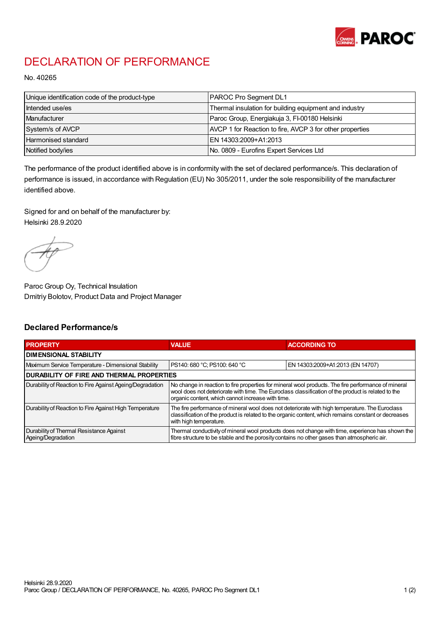

## DECLARATION OF PERFORMANCE

No. 40265

| Unique identification code of the product-type | <b>PAROC Pro Segment DL1</b>                             |
|------------------------------------------------|----------------------------------------------------------|
| Intended use/es                                | Thermal insulation for building equipment and industry   |
| Manufacturer                                   | Paroc Group, Energiakuja 3, FI-00180 Helsinki            |
| System/s of AVCP                               | AVCP 1 for Reaction to fire, AVCP 3 for other properties |
| Harmonised standard                            | IEN 14303:2009+A1:2013                                   |
| Notified body/ies                              | No. 0809 - Eurofins Expert Services Ltd                  |

The performance of the product identified above is in conformity with the set of declared performance/s. This declaration of performance is issued, in accordance with Regulation (EU) No 305/2011, under the sole responsibility of the manufacturer identified above.

Signed for and on behalf of the manufacturer by: Helsinki 28.9.2020

Paroc Group Oy, Technical Insulation Dmitriy Bolotov, Product Data and Project Manager

## Declared Performance/s

| <b>PROPERTY</b>                                                | <b>VALUE</b>                                                                                                                                                                                                                                                   | <b>ACCORDING TO</b>              |  |  |
|----------------------------------------------------------------|----------------------------------------------------------------------------------------------------------------------------------------------------------------------------------------------------------------------------------------------------------------|----------------------------------|--|--|
| <b>DIMENSIONAL STABILITY</b>                                   |                                                                                                                                                                                                                                                                |                                  |  |  |
| Maximum Service Temperature - Dimensional Stability            | PS140: 680 °C; PS100: 640 °C                                                                                                                                                                                                                                   | EN 14303:2009+A1:2013 (EN 14707) |  |  |
| <b>DURABILITY OF FIRE AND THERMAL PROPERTIES</b>               |                                                                                                                                                                                                                                                                |                                  |  |  |
| Durability of Reaction to Fire Against Ageing/Degradation      | No change in reaction to fire properties for mineral wool products. The fire performance of mineral<br>wool does not deteriorate with time. The Euroclass classification of the product is related to the<br>organic content, which cannot increase with time. |                                  |  |  |
| Durability of Reaction to Fire Against High Temperature        | The fire performance of mineral wool does not deteriorate with high temperature. The Euroclass<br>classification of the product is related to the organic content, which remains constant or decreases<br>with high temperature.                               |                                  |  |  |
| Durability of Thermal Resistance Against<br>Ageing/Degradation | Thermal conductivity of mineral wool products does not change with time, experience has shown the<br>fibre structure to be stable and the porosity contains no other gases than atmospheric air.                                                               |                                  |  |  |